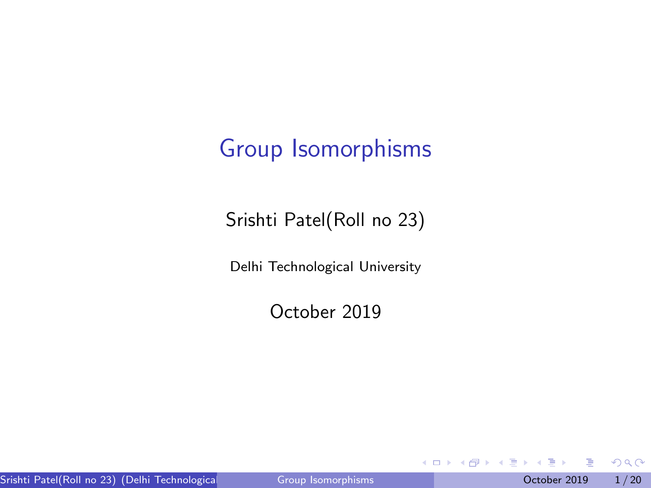## <span id="page-0-0"></span>Group Isomorphisms

Srishti Patel(Roll no 23)

Delhi Technological University

October 2019

不自下

 $A \equiv 1$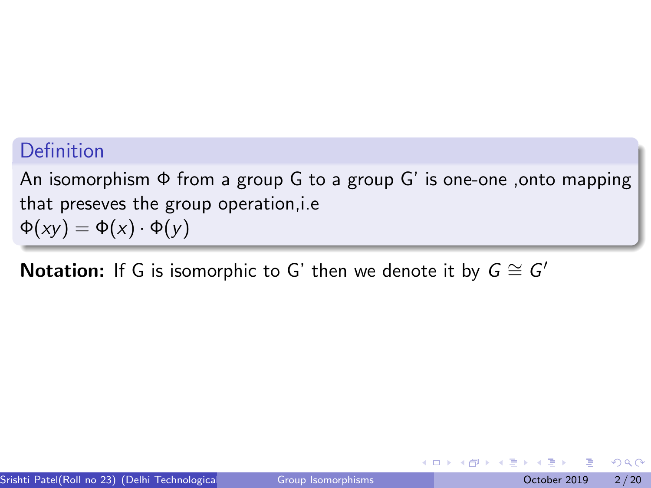### Definition

An isomorphism  $\Phi$  from a group G to a group G' is one-one , onto mapping that preseves the group operation,i.e  $\Phi(xy) = \Phi(x) \cdot \Phi(y)$ 

Notation: If G is isomorphic to G' then we denote it by  $G \cong G'$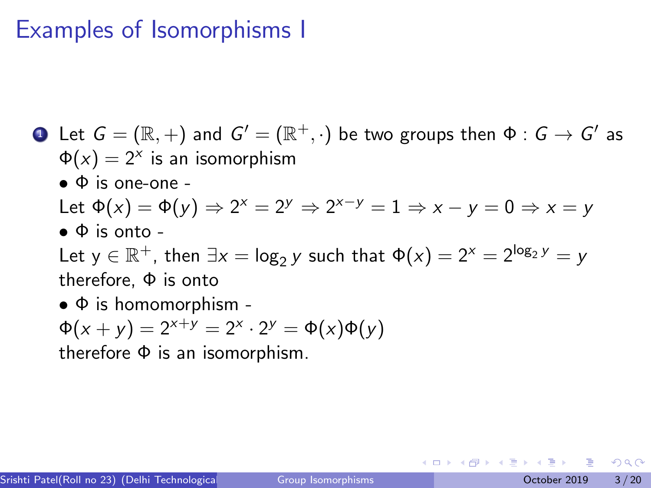### Examples of Isomorphisms I

- $\bullet\hskip2pt$  <code>Let  $G=(\mathbb{R},+)$  and  $G'=(\mathbb{R}^+,\cdot)$  be two groups then  $\Phi:G\to G'$  as</code>  $\Phi(x) = 2^x$  is an isomorphism  $\bullet$   $\Phi$  is one-one -Let  $\Phi(x) = \Phi(y) \Rightarrow 2^x = 2^y \Rightarrow 2^{x-y} = 1 \Rightarrow x - y = 0 \Rightarrow x = y$  $\bullet$   $\Phi$  is onto -Let  $y \in \mathbb{R}^+$ , then  $\exists x = \log_2 y$  such that  $\Phi(x) = 2^x = 2^{\log_2 y} = y$ therefore, Φ is onto  $\bullet$   $\Phi$  is homomorphism -
	- $\Phi(x + y) = 2^{x+y} = 2^x \cdot 2^y = \Phi(x)\Phi(y)$

therefore Φ is an isomorphism.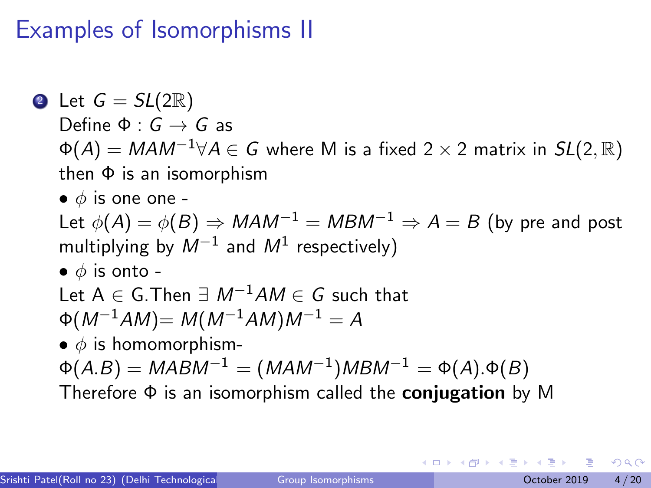### Examples of Isomorphisms II

\n- \n**2** Let 
$$
G = SL(2\mathbb{R})
$$
 Define  $\Phi : G \to G$  as  $\Phi(A) = MAM^{-1} \forall A \in G$  where M is a fixed  $2 \times 2$  matrix in  $SL(2, \mathbb{R})$ , then  $\Phi$  is an isomorphism.\n
\n- \n**6**  $\phi$  is one one.\n
\n- \n**7** Let  $\phi(A) = \phi(B) \Rightarrow MAM^{-1} = MBM^{-1} \Rightarrow A = B$  (by pre and post multiplying by  $M^{-1}$  and  $M^1$  respectively).\n
\n- \n**8**  $\phi$  is onto - Let  $A \in G$ . Then  $\exists M^{-1}AM \in G$  such that  $\Phi(M^{-1}AM) = M(M^{-1}AM)M^{-1} = A$ .\n
\n- \n**9**  $\phi$  is homomorphism.\n
\n- \n**10**  $\phi(A,B) = MABM^{-1} = (MAM^{-1})MBM^{-1} = \Phi(A).\Phi(B)$ .\n
\n- \n**21** The reference  $\Phi$  is an isomorphism called the conjugation by M.\n
\n

Ξ

 $299$ 

イロト イ御 トイミトイ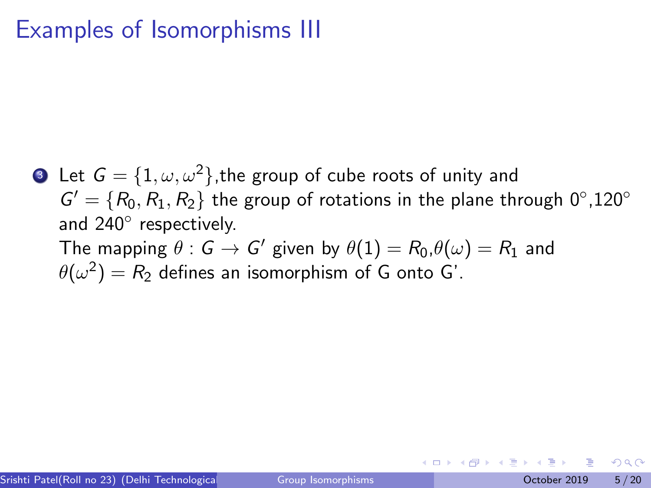### Examples of Isomorphisms III

**3** Let  $G = \{1, \omega, \omega^2\}$ , the group of cube roots of unity and  $G' = \{R_0, R_1, R_2\}$  the group of rotations in the plane through  $0^{\circ}, 120^{\circ}$ and 240<sup>°</sup> respectively. The mapping  $\theta:G\to G'$  given by  $\theta(1)=R_0$  ,  $\theta(\omega)=R_1$  and  $\theta(\omega^2)=R_2$  defines an isomorphism of G onto G'.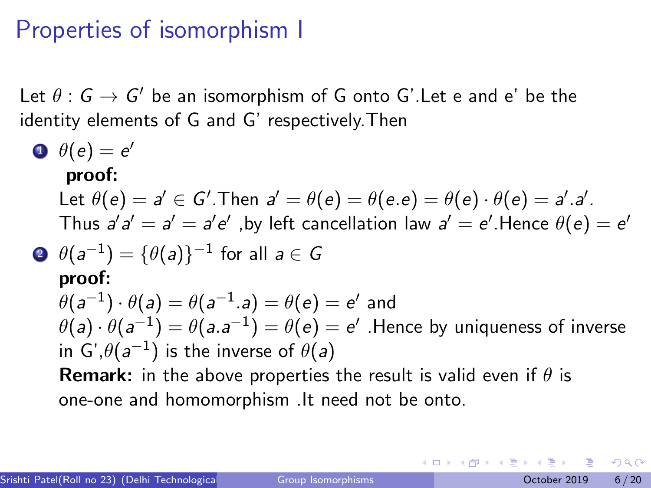### Properties of isomorphism I

Let  $\theta:G\to G'$  be an isomorphism of G onto G'.Let e and e' be the identity elements of G and G' respectively.Then

\n- \n
$$
\theta(e) = e'
$$
\n **proof:**\n Let  $\theta(e) = a' \in G'$ . Then  $a' = \theta(e) = \theta(e, e) = \theta(e) \cdot \theta(e) = a' \cdot a'$ . Thus  $a'a' = a' = a'e'$ , by left cancellation law  $a' = e'$ . Hence  $\theta(e) = e'$
\n- \n $\theta(a^{-1}) = \{\theta(a)\}^{-1}$  for all  $a \in G$ \n **proof:**\n $\theta(a^{-1}) \cdot \theta(a) = \theta(a^{-1} \cdot a) = \theta(e) = e'$  and  $\theta(a) \cdot \theta(a^{-1}) = \theta(a \cdot a^{-1}) = \theta(e) = e'$ . Hence by uniqueness of inverse in  $G', \theta(a^{-1})$  is the inverse of  $\theta(a)$ .\n **Remark:** in the above properties the result is valid even if  $\theta$  is one-one and homomorphism. It need not be onto.\n
\n

4 0 F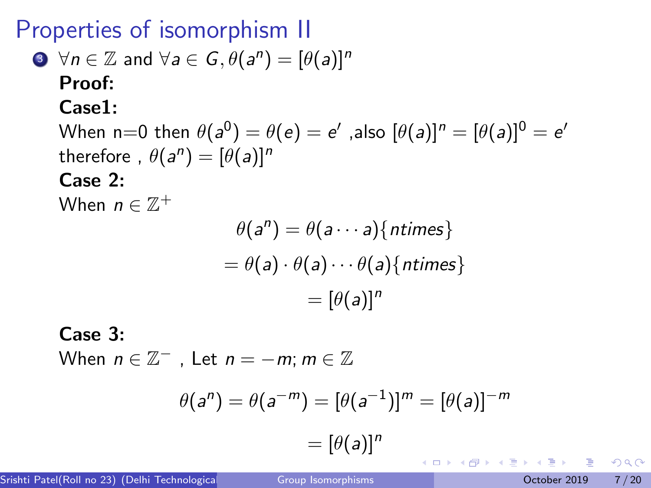Properties of isomorphism II

**①** 
$$
\forall n \in \mathbb{Z}
$$
 and  $\forall a \in G, \theta(a^n) = [\theta(a)]^n$ 

\n**Proof:**

\n**Case1:**

\nWhen n=0 then  $\theta(a^0) = \theta(e) = e'$ , also  $[\theta(a)]^n = [\theta(a)]^0 = e'$ 

\ntherefore,  $\theta(a^n) = [\theta(a)]^n$ 

\n**Case 2:**

\nWhen  $n \in \mathbb{Z}^+$ 

\n $\theta(a^n) = \theta(a \cdots a) \{ \text{ntimes} \}$ 

\n $= \theta(a) \cdot \theta(a) \cdots \theta(a) \{ \text{ntimes} \}$ 

\n $= [\theta(a)]^n$ 

\n**6.**

\n**6.**

\n**7.**

Case 3:

When  $n \in \mathbb{Z}^+$  , Let  $n = -m$ ;  $m \in \mathbb{Z}$ 

$$
\theta(a^n) = \theta(a^{-m}) = [\theta(a^{-1})]^m = [\theta(a)]^{-m}
$$

$$
= [\theta(a)]^n
$$

不自下

- → 三

 $QQ$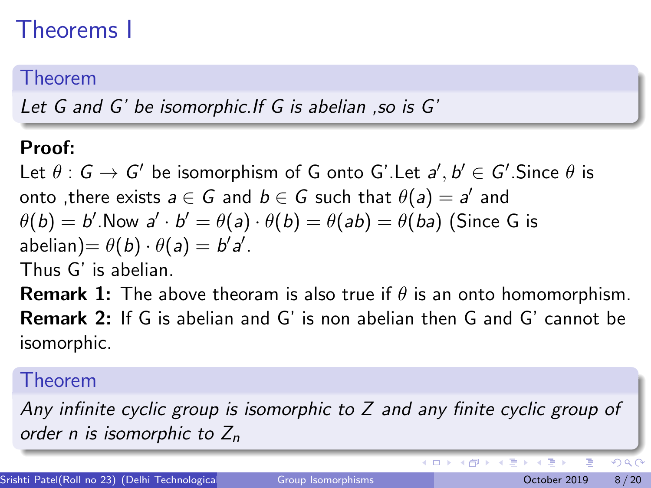# Theorems I

### Theorem

Let G and G' be isomorphic.If G is abelian ,so is G'

### Proof:

Let  $\theta:G\to G'$  be isomorphism of G onto G'.Let  $a',b'\in G'.$ Since  $\theta$  is onto ,there exists  $a \in G$  and  $b \in \overline{G}$  such that  $\theta(a) = a'$  and  $\theta(b) = b'.$ Now  $a' \cdot b' = \theta(a) \cdot \theta(b) = \theta(ab) = \theta(ba)$  (Since G is abelian)=  $\theta(b) \cdot \theta(a) = b'a'.$ Thus G' is abelian.

**Remark 1:** The above theoram is also true if  $\theta$  is an onto homomorphism. Remark 2: If G is abelian and G' is non abelian then G and G' cannot be isomorphic.

### Theorem

Any infinite cyclic group is isomorphic to Z and any finite cyclic group of order n is isomorphic to  $Z_n$ 

 $QQ$ 

イロト イ押 トメ ヨ トメ ヨ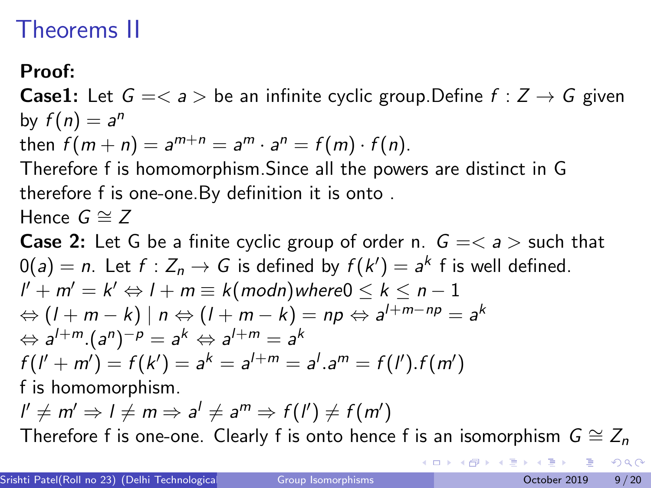## Theorems II

Proof:

**Case1:** Let  $G = \langle a \rangle$  be an infinite cyclic group. Define  $f : Z \rightarrow G$  given by  $f(n) = a^n$ 

then  $f(m+n) = a^{m+n} = a^m \cdot a^n = f(m) \cdot f(n)$ .

Therefore f is homomorphism.Since all the powers are distinct in G therefore f is one-one.By definition it is onto .

Hence  $G \cong Z$ 

**Case 2:** Let G be a finite cyclic group of order n.  $G = \langle a \rangle$  such that  $0(a)=n$ . Let  $f:Z_n\to G$  is defined by  $f(k')=a^k$  f is well defined.  $l' + m' = k' \Leftrightarrow l + m \equiv k \pmod{m}$  where  $0 \leq k \leq n - 1$  $\Leftrightarrow (l+m-k)\mid n\Leftrightarrow (l+m-k)=np\Leftrightarrow a^{l+m-np}=a^k$  $\Leftrightarrow$  a<sup>l+m</sup>.(a<sup>n</sup>)<sup>-p</sup> = a<sup>k</sup>  $\Leftrightarrow$  a<sup>l+m</sup> = a<sup>k</sup>  $f(I' + m') = f(k') = a^k = a^{l+m} = a^l.a^m = f(I').f(m')$ f is homomorphism.

 $l'\neq m' \Rightarrow l\neq m \Rightarrow a^{l}\neq a^{m} \Rightarrow f(l')\neq f(m')$ 

Therefore f is one-one. Clearly f is onto hence f is an isomorphism  $G \cong Z_n$ 

 $200$ 

イロト イ押ト イヨト イヨト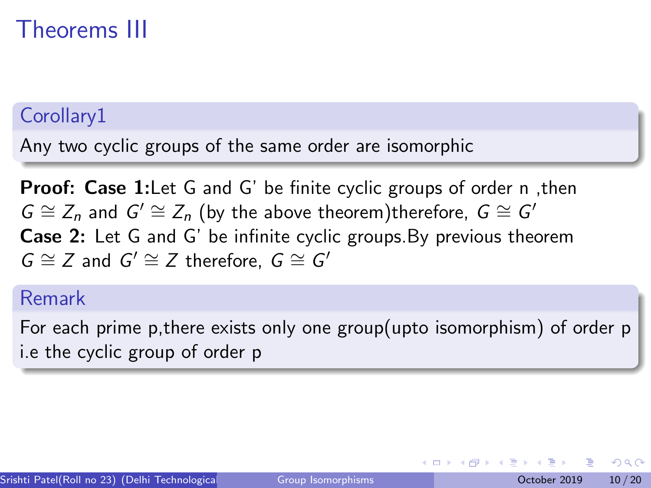# Theorems III

### Corollary1

Any two cyclic groups of the same order are isomorphic

**Proof: Case 1:** Let G and G' be finite cyclic groups of order n, then  $G \cong Z_n$  and  $G' \cong Z_n$  (by the above theorem)therefore,  $G \cong G'$ Case 2: Let G and G' be infinite cyclic groups.By previous theorem  $G \cong Z$  and  $G' \cong Z$  therefore,  $G \cong G'$ 

### Remark

For each prime p,there exists only one group(upto isomorphism) of order p i.e the cyclic group of order p

つへへ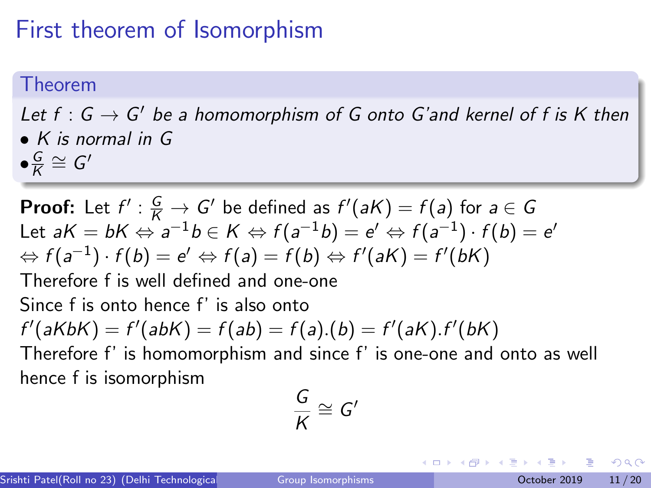## First theorem of Isomorphism

#### Theorem

#### Let  $f: G \to G'$  be a homomorphism of G onto G'and kernel of f is K then • K is normal in G  $\bullet \frac{G}{K}$  $\frac{G}{K} \cong G'$

**Proof:** Let  $f' : \frac{G}{K} \to G'$  be defined as  $f'(aK) = f(a)$  for  $a \in G$ Let  $a{\sf K}=b{\sf K} \Leftrightarrow a^{-1}b\in{\sf K} \Leftrightarrow f(a^{-1}b)=e'\Leftrightarrow f(a^{-1})\cdot f(b)=e'$  $\Leftrightarrow f(a^{-1})\cdot f(b)=e'\Leftrightarrow f(a)=f(b)\Leftrightarrow f'(aK)=f'(bK)$ Therefore f is well defined and one-one Since f is onto hence f' is also onto  $f'(aKbK) = f'(abK) = f(ab) = f(a).(b) = f'(aK).f'(bK)$ Therefore f' is homomorphism and since f' is one-one and onto as well hence f is isomorphism

$$
\frac{G}{K}\cong G'
$$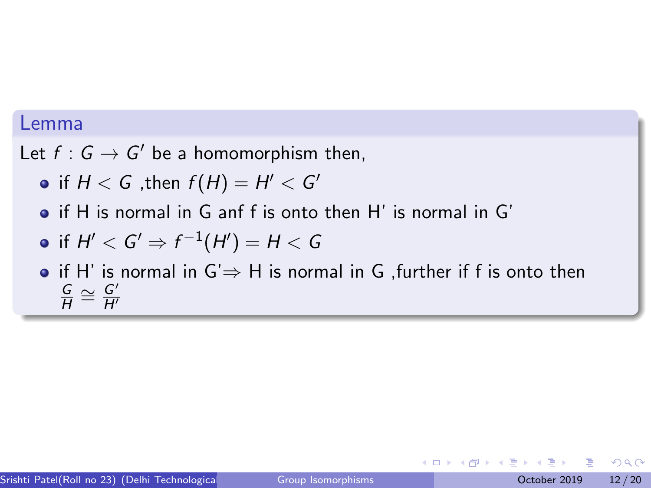#### <span id="page-11-0"></span>Lemma

Let  $f: G \to G'$  be a homomorphism then,

- if  $H < G$  ,then  $f(H) = H' < G'$
- if H is normal in G anf f is onto then H' is normal in G'

$$
\bullet \text{ if } H' < G' \Rightarrow f^{-1}(H') = H < G
$$

• if H' is normal in  $G' \Rightarrow H$  is normal in G , further if f is onto then G  $\frac{G}{H} \cong \frac{G'}{H'}$  $\overline{H}$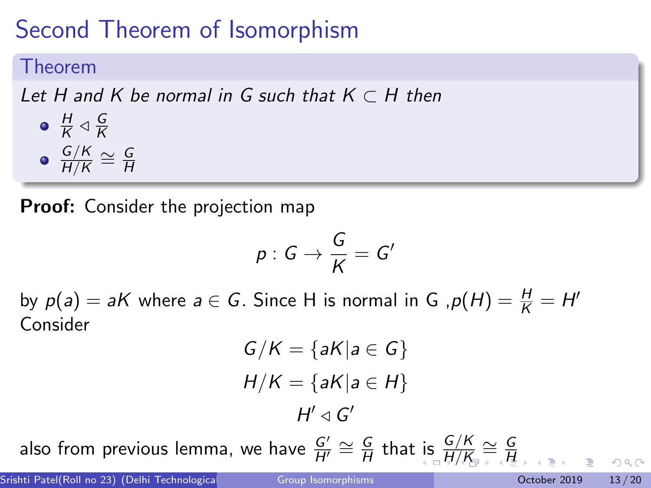# <span id="page-12-0"></span>Second Theorem of Isomorphism

#### Theorem

Let H and K be normal in G such that  $K\subset H$  then

H  $\frac{H}{K} \triangleleft \frac{G}{K}$ K G/K  $\frac{\mathsf{G/K}}{\mathsf{H/K}}\cong\frac{\mathsf{G}}{\mathsf{H}}$ H

**Proof:** Consider the projection map

$$
p:G\to \frac{G}{K}=G'
$$

by  $p(a) = aK$  where  $a \in G$ . Since H is normal in G ,  $p(H) = \frac{H}{K} = H'$ Consider

$$
G/K = \{aK | a \in G\}
$$

$$
H/K = \{aK | a \in H\}
$$

$$
H' \triangleleft G'
$$

also from previous lemma, we have  $\frac{G'}{H'}\cong \frac{G}{H}$  $\frac{G}{H}$  $\frac{G}{H}$  $\frac{G}{H}$  that [is](#page-11-0)  $\frac{G/K}{H/K} \cong \frac{G}{H}$  $\frac{G/K}{H/K} \cong \frac{G}{H}$  $\frac{G/K}{H/K} \cong \frac{G}{H}$  $\frac{G/K}{H/K} \cong \frac{G}{H}$ [H](#page-0-0)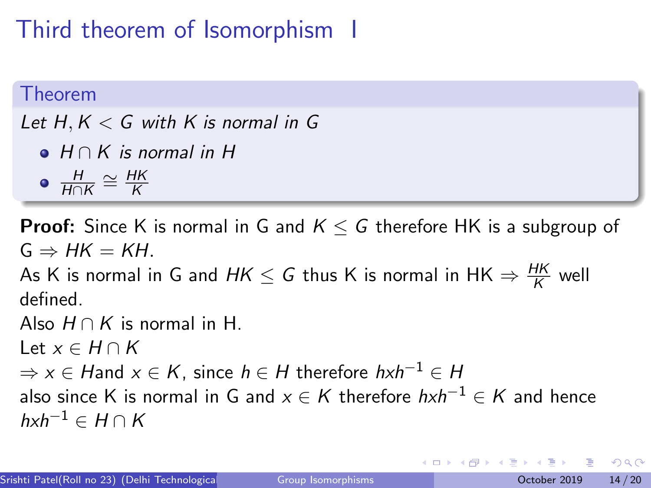# <span id="page-13-0"></span>Third theorem of Isomorphism I

#### Theorem

Let  $H, K < G$  with K is normal in G

- $\bullet$  H  $\cap$  K is normal in H
- $\frac{H}{H\cap K} \cong \frac{HK}{K}$ K

**Proof:** Since K is normal in G and  $K \leq G$  therefore HK is a subgroup of  $G \Rightarrow HK = KH$ .

As K is normal in G and  $\mathit{HK} \leq \mathit{G}$  thus K is normal in  $\mathsf{HK} \Rightarrow \frac{\mathit{HK}}{\mathit{K}}$  well defined.

Also  $H \cap K$  is normal in H.

Let  $x \in H \cap K$ 

 $\Rightarrow$  x ∈ Hand x ∈ K, since h ∈ H therefore hxh<sup>-1</sup> ∈ H

also since K is normal in G and  $x \in K$  therefore  $hxh^{-1} \in K$  and hence  $hxh^{-1} \in H \cap K$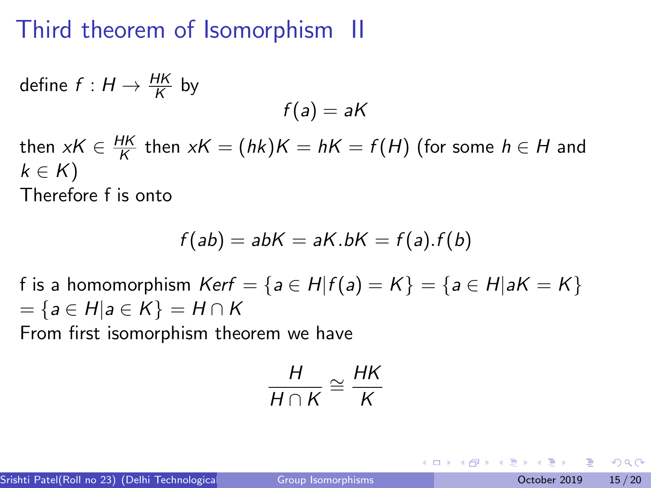## Third theorem of Isomorphism II

define 
$$
f: H \to \frac{HK}{K}
$$
 by  
\n
$$
f(a) = aK
$$
\nthen  $xK \in \frac{HK}{K}$  then  $xK = (hk)K = hK = f(H)$  (for some  $h \in H$  and  $k \in K$ )

Therefore f is onto

$$
f(ab) = abK = aK.bK = f(a).f(b)
$$

f is a homomorphism  $Kerf = \{a \in H | f(a) = K\} = \{a \in H | aK = K\}$  $=\{a \in H | a \in K\} = H \cap K$ From first isomorphism theorem we have

$$
\frac{H}{H \cap K} \cong \frac{HK}{K}
$$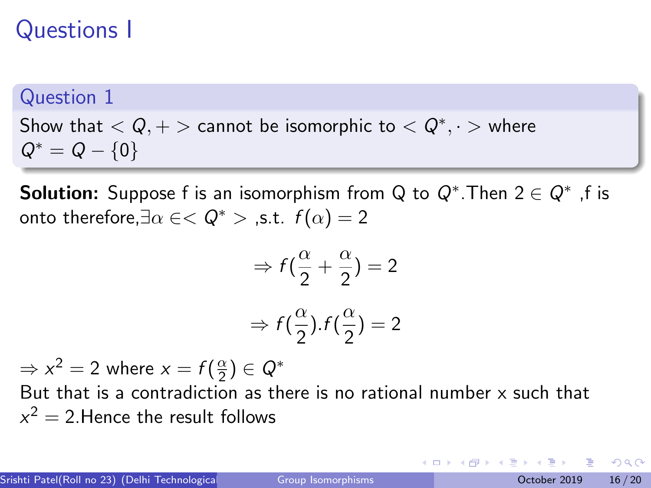# Questions I

### Question 1

Show that  $< Q, +>$  cannot be isomorphic to  $< Q^*, \cdot>$  where  $Q^* = Q - \{0\}$ 

**Solution:** Suppose f is an isomorphism from Q to  $Q^*$ . Then  $2 \in Q^*$  , f is onto therefore,  $\exists \alpha \in <\mathcal{Q}^*$  > .s.t.  $f(\alpha) = 2$ 

$$
\Rightarrow f(\frac{\alpha}{2} + \frac{\alpha}{2}) = 2
$$

$$
\Rightarrow f(\frac{\alpha}{2}).f(\frac{\alpha}{2}) = 2
$$

 $\Rightarrow$   $x^2 = 2$  where  $x = f(\frac{\alpha}{2})$  $\frac{\alpha}{2}) \in \mathsf{Q}^*$ 

But that is a contradiction as there is no rational number  $x$  such that  $x^2=2.$ Hence the result follows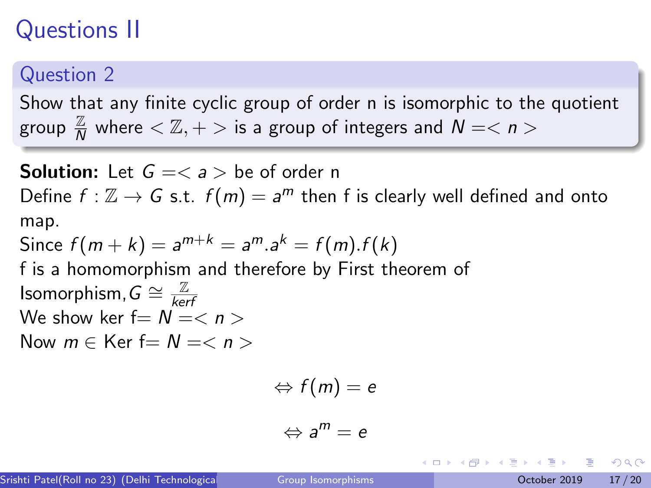# Questions II

### Question 2

Show that any finite cyclic group of order n is isomorphic to the quotient group  $\frac{\mathbb{Z}}{N}$  where  $<\mathbb{Z},+>$  is a group of integers and  $N=<$   $n>$ 

**Solution:** Let  $G =$  be of order n Define  $f : \mathbb{Z} \to G$  s.t.  $f(m) = a^m$  then f is clearly well defined and onto map. Since  $f(m+k) = a^{m+k} = a^m.a^k = f(m).f(k)$ f is a homomorphism and therefore by First theorem of Isomorphism,  $G \cong \frac{\mathbb{Z}}{ker}$ kerf We show ker  $f=N=$ Now  $m \in$  Ker  $f = N = < n$ 

$$
\Leftrightarrow f(m)=e
$$

$$
\Leftrightarrow a^m=e
$$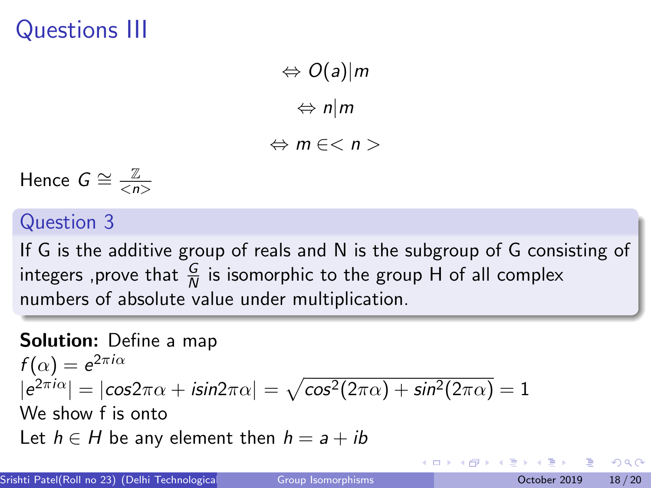Questions III

 $\Leftrightarrow$  O(a)|m ⇔ n|m

 $\Leftrightarrow$  m  $\in$  < n >

Hence  $G \cong \frac{\mathbb{Z}}{2n}$  $\langle n \rangle$ 

### Question 3

If G is the additive group of reals and N is the subgroup of G consisting of integers ,prove that  $\frac{G}{N}$  is isomorphic to the group H of all complex numbers of absolute value under multiplication.

#### Solution: Define a map

 $f(\alpha) = e^{2\pi i \alpha}$  $|e^{2\pi i\alpha}| = |\cos 2\pi\alpha + i\sin 2\pi\alpha| = \sqrt{\cos^2(2\pi\alpha) + \sin^2(2\pi\alpha)} = 1$ We show f is onto Let  $h \in H$  be any element then  $h = a + ib$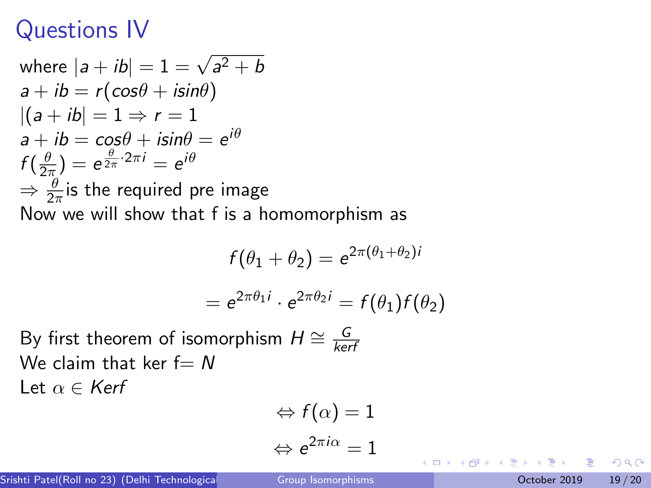### Questions IV

where 
$$
|a + ib| = 1 = \sqrt{a^2 + b}
$$
  
\n $a + ib = r(cos\theta + i sin\theta)$   
\n $|(a + ib| = 1 \Rightarrow r = 1$   
\n $a + ib = cos\theta + i sin\theta = e^{i\theta}$   
\n $f(\frac{\theta}{2\pi}) = e^{\frac{\theta}{2\pi} \cdot 2\pi i} = e^{i\theta}$   
\n $\Rightarrow \frac{\theta}{2\pi}$  is the required pre image  
\nNow we will show that f is a homomorphism as

$$
f(\theta_1 + \theta_2) = e^{2\pi(\theta_1 + \theta_2)i}
$$

$$
= e^{2\pi\theta_1 i} \cdot e^{2\pi\theta_2 i} = f(\theta_1) f(\theta_2)
$$

By first theorem of isomorphism  $H \cong \frac{G}{k e t}$ kerf We claim that ker  $f = N$ Let  $\alpha \in \text{Kerf}$ 

$$
\Leftrightarrow f(\alpha) = 1
$$
  

$$
\Leftrightarrow e^{2\pi i \alpha} = 1
$$

4 **D F** 

34 B

 $QQ$